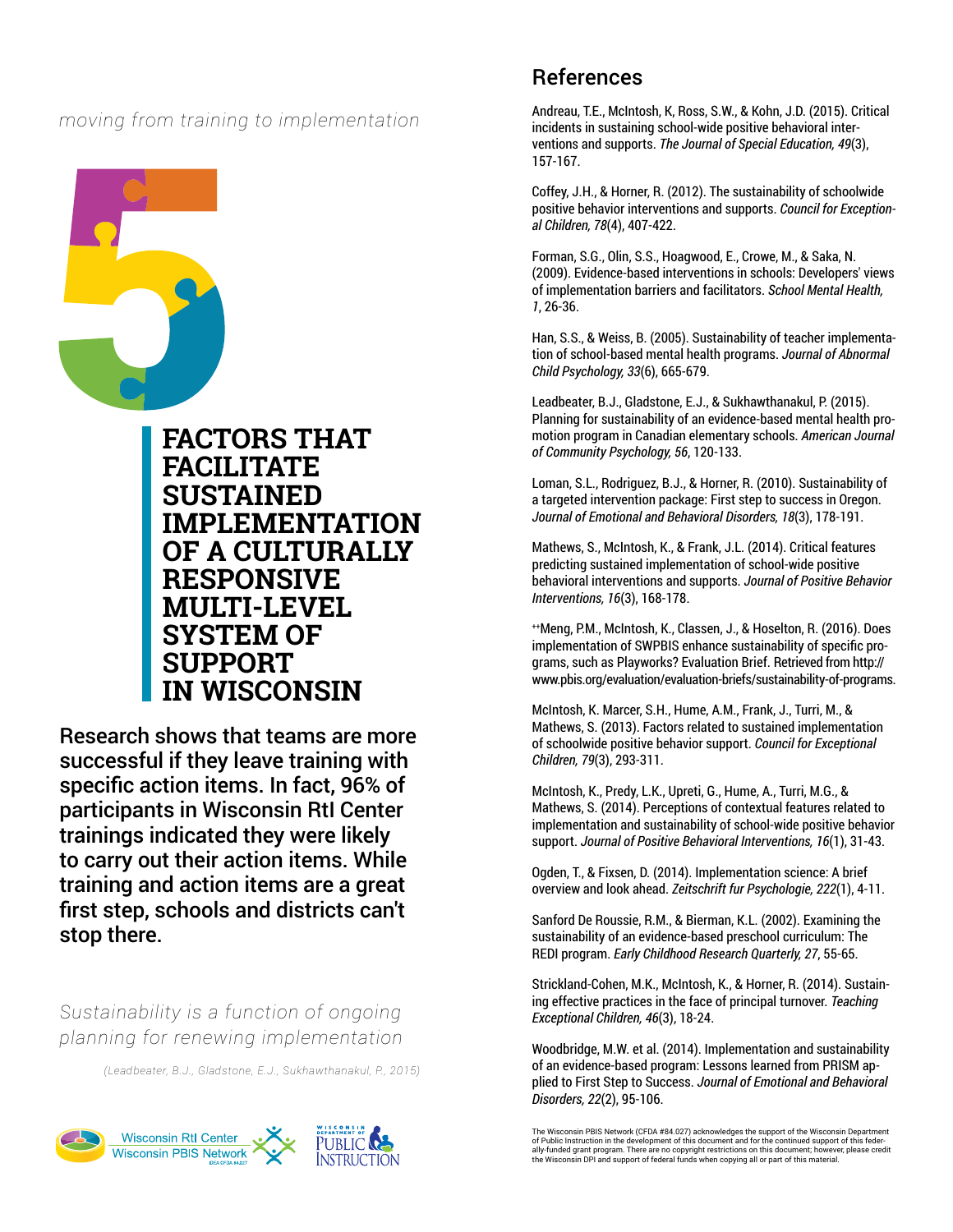*moving from training to implementation*



**FACTORS THAT FACILITATE SUSTAINED IMPLEMENTATION OF A CULTURALLY RESPONSIVE MULTI-LEVEL SYSTEM OF SUPPORT IN WISCONSIN**

Research shows that teams are more successful if they leave training with specific action items. In fact, 96% of participants in Wisconsin RtI Center trainings indicated they were likely to carry out their action items. While training and action items are a great first step, schools and districts can't stop there.

*Sustainability is a function of ongoing planning for renewing implementation*

*(Leadbeater, B.J., Gladstone, E.J., Sukhawthanakul, P., 2015)*



# References

Andreau, T.E., McIntosh, K, Ross, S.W., & Kohn, J.D. (2015). Critical incidents in sustaining school-wide positive behavioral interventions and supports. *The Journal of Special Education, 49*(3), 157-167.

Coffey, J.H., & Horner, R. (2012). The sustainability of schoolwide positive behavior interventions and supports. *Council for Exceptional Children, 78*(4), 407-422.

Forman, S.G., Olin, S.S., Hoagwood, E., Crowe, M., & Saka, N. (2009). Evidence-based interventions in schools: Developers' views of implementation barriers and facilitators. *School Mental Health, 1*, 26-36.

Han, S.S., & Weiss, B. (2005). Sustainability of teacher implementation of school-based mental health programs. *Journal of Abnormal Child Psychology, 33*(6), 665-679.

Leadbeater, B.J., Gladstone, E.J., & Sukhawthanakul, P. (2015). Planning for sustainability of an evidence-based mental health promotion program in Canadian elementary schools. *American Journal of Community Psychology, 56*, 120-133.

Loman, S.L., Rodriguez, B.J., & Horner, R. (2010). Sustainability of a targeted intervention package: First step to success in Oregon. *Journal of Emotional and Behavioral Disorders, 18*(3), 178-191.

Mathews, S., McIntosh, K., & Frank, J.L. (2014). Critical features predicting sustained implementation of school-wide positive behavioral interventions and supports. *Journal of Positive Behavior Interventions, 16*(3), 168-178.

++Meng, P.M., McIntosh, K., Classen, J., & Hoselton, R. (2016). Does implementation of SWPBIS enhance sustainability of specific programs, such as Playworks? Evaluation Brief. Retrieved from http:// www.pbis.org/evaluation/evaluation-briefs/sustainability-of-programs.

McIntosh, K. Marcer, S.H., Hume, A.M., Frank, J., Turri, M., & Mathews, S. (2013). Factors related to sustained implementation of schoolwide positive behavior support. *Council for Exceptional Children, 79*(3), 293-311.

McIntosh, K., Predy, L.K., Upreti, G., Hume, A., Turri, M.G., & Mathews, S. (2014). Perceptions of contextual features related to implementation and sustainability of school-wide positive behavior support. *Journal of Positive Behavioral Interventions, 16*(1), 31-43.

Ogden, T., & Fixsen, D. (2014). Implementation science: A brief overview and look ahead. *Zeitschrift fur Psychologie, 222*(1), 4-11.

Sanford De Roussie, R.M., & Bierman, K.L. (2002). Examining the sustainability of an evidence-based preschool curriculum: The REDI program. *Early Childhood Research Quarterly, 27*, 55-65.

Strickland-Cohen, M.K., McIntosh, K., & Horner, R. (2014). Sustaining effective practices in the face of principal turnover. *Teaching Exceptional Children, 46*(3), 18-24.

Woodbridge, M.W. et al. (2014). Implementation and sustainability of an evidence-based program: Lessons learned from PRISM applied to First Step to Success. *Journal of Emotional and Behavioral Disorders, 22*(2), 95-106.

The Wisconsin PBIS Network (CFDA #84.027) acknowledges the support of the Wisconsin Department of Public Instruction in the development of this document and for the continued support of this feder-<br>ally-funded grant program. There are no copyright restrictions on this document; however, please credit<br>the Wisconsin D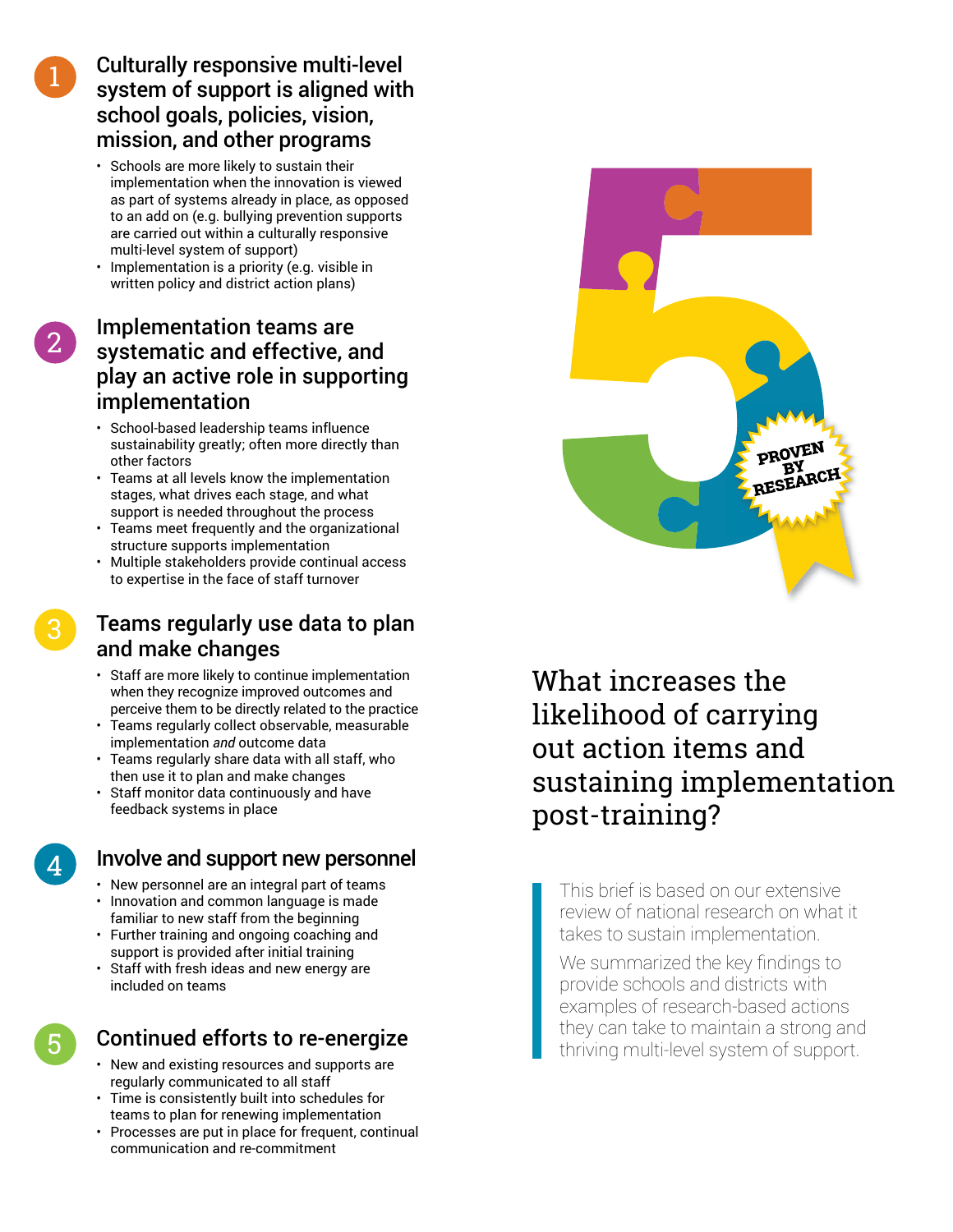# Culturally responsive multi-level system of support is aligned with school goals, policies, vision, mission, and other programs

- Schools are more likely to sustain their implementation when the innovation is viewed as part of systems already in place, as opposed to an add on (e.g. bullying prevention supports are carried out within a culturally responsive multi-level system of support)
- Implementation is a priority (e.g. visible in written policy and district action plans)

# Implementation teams are systematic and effective, and play an active role in supporting implementation

- School-based leadership teams influence sustainability greatly; often more directly than other factors
- Teams at all levels know the implementation stages, what drives each stage, and what support is needed throughout the process
- Teams meet frequently and the organizational structure supports implementation
- Multiple stakeholders provide continual access to expertise in the face of staff turnover

# Teams regularly use data to plan and make changes

- Staff are more likely to continue implementation when they recognize improved outcomes and perceive them to be directly related to the practice
- Teams regularly collect observable, measurable implementation *and* outcome data
- Teams regularly share data with all staff, who then use it to plan and make changes
- Staff monitor data continuously and have feedback systems in place

4

5

3

# Involve and support new personnel

- New personnel are an integral part of teams • Innovation and common language is made
- familiar to new staff from the beginning
- Further training and ongoing coaching and support is provided after initial training
- Staff with fresh ideas and new energy are included on teams

# Continued efforts to re-energize

- New and existing resources and supports are regularly communicated to all staff
- Time is consistently built into schedules for teams to plan for renewing implementation
- Processes are put in place for frequent, continual communication and re-commitment



What increases the likelihood of carrying out action items and sustaining implementation post-training?

This brief is based on our extensive review of national research on what it takes to sustain implementation.

We summarized the key findings to provide schools and districts with examples of research-based actions they can take to maintain a strong and thriving multi-level system of support.

1

2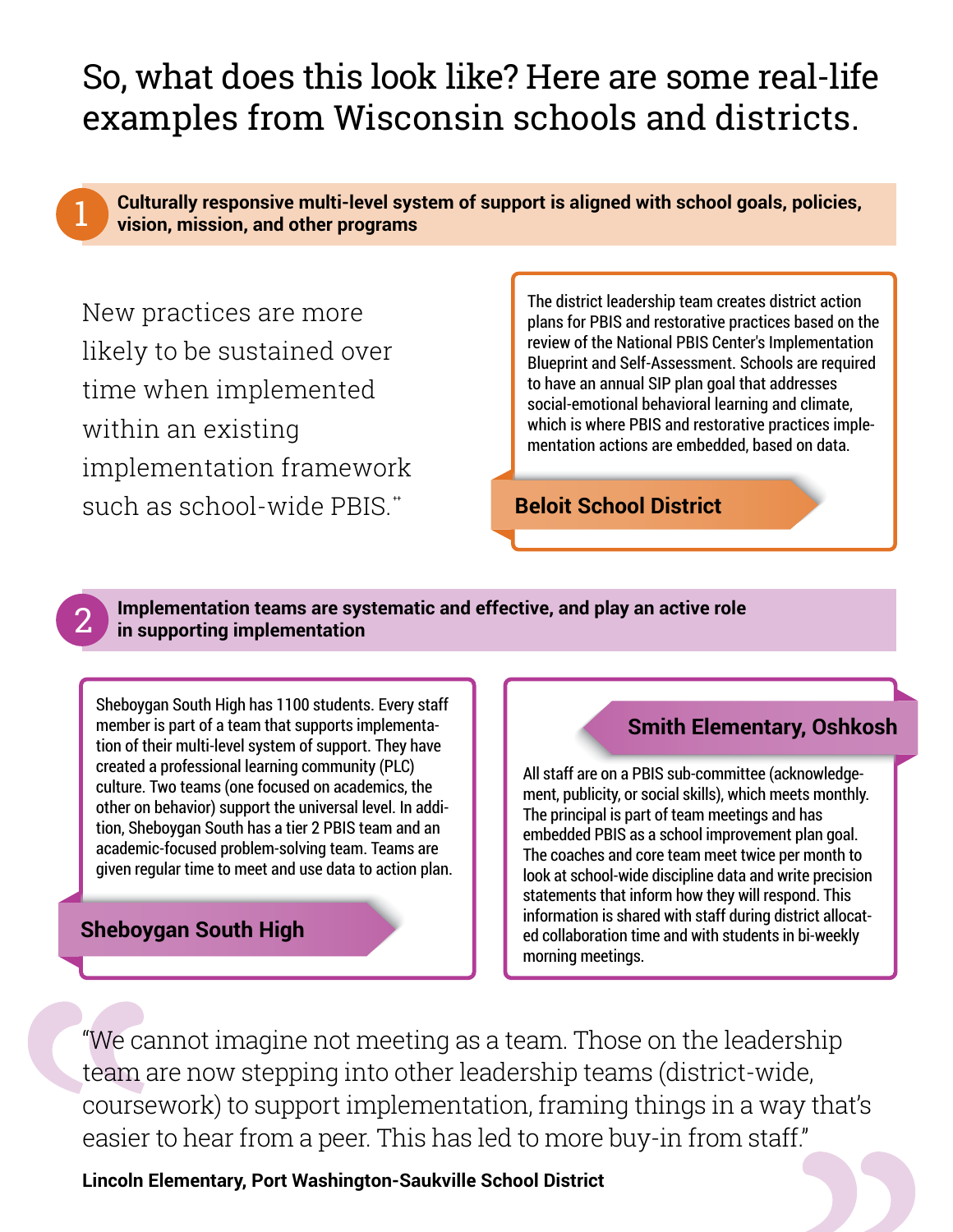# So, what does this look like? Here are some real-life examples from Wisconsin schools and districts.



2

**Culturally responsive multi-level system of support is aligned with school goals, policies, vision, mission, and other programs**

New practices are more likely to be sustained over time when implemented within an existing implementation framework  $such$  as school-wide PBIS $*$ 

The district leadership team creates district action plans for PBIS and restorative practices based on the review of the National PBIS Center's Implementation Blueprint and Self-Assessment. Schools are required to have an annual SIP plan goal that addresses social-emotional behavioral learning and climate, which is where PBIS and restorative practices implementation actions are embedded, based on data.

**Beloit School District**

### **Implementation teams are systematic and effective, and play an active role in supporting implementation**

Sheboygan South High has 1100 students. Every staff member is part of a team that supports implementation of their multi-level system of support. They have created a professional learning community (PLC) culture. Two teams (one focused on academics, the other on behavior) support the universal level. In addition, Sheboygan South has a tier 2 PBIS team and an academic-focused problem-solving team. Teams are given regular time to meet and use data to action plan.

# **Sheboygan South High**

# **Smith Elementary, Oshkosh**

All staff are on a PBIS sub-committee (acknowledgement, publicity, or social skills), which meets monthly. The principal is part of team meetings and has embedded PBIS as a school improvement plan goal. The coaches and core team meet twice per month to look at school-wide discipline data and write precision statements that inform how they will respond. This information is shared with staff during district allocated collaboration time and with students in bi-weekly morning meetings.

"We cannot imagine not meeting as a team. Those on the leadership team are now stepping into other leadership teams (district-wide, coursework) to support implementation, framing things in a way that's easier to hear from a peer. This has led to more buy-in from staff."

**Lincoln Elementary, Port Washington-Saukville School District**